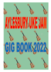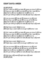### **EIGHT DAYS A WEEK**

**[C] [D7] [F] [C]** 

**[C]** Ooh I need your **[D7]** love babe **[F]** guess you know it's **[C]** true **[C]** Hope you need my **[D7]** love babe **[F]** just like I need **[C]** you **[Am]** Hold me **[F]** love me **[Am]** hold me **[D7]** love me **[C]** Ain't got nothing but **[D7**] love babe **[F]** eight days a **[C]** week

**[C]** Love you every **[D7]** day girl **[F]** always on my **[C]** mind **[C]** One thing I can **[D7]** say girl **[F]** love you all the **[C]** time **[Am]** Hold me **[F]** love me **[Am]** hold me **[D7]** love me **[C]** Ain't got nothing but **[D7]** love babe **[F]** eight days a **[C]** week

**[G]** Eight days a week I **[Am]** love you **[D7]** Eight days a week is **[F]** not enough to **[G7]** show I care

**[C]** Ooh I need your **[D7]** love babe **[F]** guess you know it's **[C]** true **[C]** Hope you need my **[D7]** love babe **[F]** just like I need **[C]** you **[Am]** Hold me **[F]** love me **[Am]** hold me **[D7]** love me **[C]** Ain't got nothing but **[D7**] love babe **[F]** eight days a **[C]** week

**[G]** Eight days a week I **[Am]** love you **[D**7] Eight days a week is **[F]** not enough to **[G7]** show I care

**[C]** Love you every **[D7]** day girl **[F]** always on my **[C]** mind **[C]** One thing I can **[D7]** say girl **[F]** love you all the **[C]** time **[Am]** Hold me **[F]** love me **[Am]** hold me **[D7]** love me **[C]** Ain't got nothing but **[D7]** love babe **[F]** eight days a **[C]** week

**[F]** Eight days a **[C]** week **[F]** eight days a **[C]** week **[C] [D7] [F] [C]**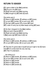# **RETURN TO SENDER**

**[C]** I gave a letter to the [**Am**] postman, [**Dm**] he put in his [**G7**] sack. [**C**] Bright and early next [**Am**] morning, he [**Dm**] brought my [**G7**] letter [**C**] back.

She wrote upon it. [**F**] Return to [**G7**] sender, [**F**] address un-[**G7**] known, [**F**] no such [**G7**] number, [**C**] no such zone. [**C7**] [**F**] We had a [**G7**] quarrel, [**F**] a lovers [**G7**] spat. [**D7**] I write I'm sorry but my letter keeps coming [**G7**] back.

[**C**] So then I dropped it in the [**Am**] mailbox, [**Dm**] and sent it Special [**G7**] D. [**C**] Bright and early next [**Am**] morning, it [**Dm**] came right [**G7**] back to [**C**] me

She wrote upon it. [**F**] Return to [**G7**] sender, [**F**] address un-[**G7**] known, [**F**] no such [**G7**] number, [**C**] no such zone. [**C7**]

[**F**] This time I'm gonna take it myself and put it right in her [**C**] hand. And [**D7**] if it comes back the very next day, [**G7**] Then I'll understand …

… the writing on it. [**F**] Return to [**G7**] sender, [**F**] address un-[**G7**] known, [**F**] no such [**G7**] number, [**C**] no such zone. [**C7**] [**F**] Return to [**G7**] sender [**F**] Return to [**G7**] sender [**F**] Return to [**G7**] sender [**C**]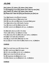# **JOLENE**

**[Am] Jolene, [C] Jolene, [G] Jolene, [Am] Jolene I`m [G] begging of you [Em] please don't take my man [Am] [Am] Jolene, [C] Jolene, [G] Jolene, [Am] Jolene [G] Please don`t take him [Em] just because you [Am] can**

Your [**Am**] beauty is be-[**C**]yond compare With [**G**] flaming locks of [**Am**] auburn hair With [**G**] ivory skin and [**Em**] eyes of emerald [**Am**] green Your [**Am**] smile is like a [**C**] breath of spring Your [**G**] voice is soft like [**Am**] summer rain And [**G**] I cannot com-[**Em**]pete with you, Jo-[**Am**]lene

He [**Am**] talks about you [**C**] in his sleep There`s [**G**] nothing I can [**Am**] do to keep From [**G**] crying when he [**Em**] calls your name, Jo-[**Am**]lene And [**Am**] I can easily [**C**] understand How [**G**] you could easily [**Am**] take my man But you [**G**] don`t know what he [**Em**] means to me, Jo-[**Am**]lene

### **CHORUS**

[**Am**] You could have your [**C**] choice of men But [**G**] I could never [**Am**] love again [**G**] He`s the only [**Em**] one for me, Jo-[**Am**]lene [**Am**]I had to have this [**C**] talk with you My [**G**] happiness de-[**Am**]pends on you And [**G**] whatever you de-[**Em**]cide to do, Jo-[**Am**]lene

**CHORUS**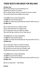# **THESE BOOTS ARE MADE FOR WALKING**

#### **[C] (Bass line)**

[**C**] You keep saying you've got something for me Something you call love, but confess [**F**] You've been messin' where you shouldn't have been a messin' And now [**C**] someone else is getting' all your best

These [**Eb**] boots are made for [**C**] walking. And [**Eb**] that's just what they'll [**C**] do. And [**Eb**] one of these days these [**C**] boots are gonna walk all over you. **[C] (Bass line)**

[**C**] You keep lying when you oughta be truthin' And you keep losing when you oughta not bet [**F**] You keep samin' when you oughta be changin' Now what's [**C**] right is right but you ain't been right yet

These [**Eb**] boots are made for [**C**] walking.

And [**Eb**] that's just what they'll [**C**] do.

And [**Eb**] one of these days these [**C**] boots are gonna walk all over you.

#### **[C] (Bass line)**

[**C**] You keep playin' where you shouldn't be playin' And you keep thinkin'' that you'll never get burnt. Ha! [**F**] I just found me a brand new box of matches, yeah And [**C**] what he knows you ain't had time to learn

These [**Eb**] boots are made for [**C**] walking. And [**Eb**] that's just what they'll [**C**] do. And [**Eb**] one of these days these [**C**] boots are gonna walk all over you. **[C] (Bass line)**

[**C**] Are you ready boots - start walking!

#### **Eb=0331**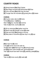# **COUNTRY ROADS**

**[G]** Almost heaven **[Em]** West Virginia

**[D]** Blue Ridge mountains **[C]** Shenandoah **[G]** River

**[G]** Life is old there **[Em]** older than the trees

**[D]** Younger than the mountains **[C]** growing like a **[G]** breeze

### **CHORUS:**

**[G]** Country roads, take me **[D]** home To the **[Em]** place, I be**[C]**long West Vir**[G]**ginia, mountain **[D]** momma Take me **[C]** home, country **[G]** roads

**[G]** All my memories **[Em]** gather round her **[D]** Miner's lady **[C]** stranger to blue **[G]** water

**[G]** Dark and dusty **[Em]** painted on the sky

**[D]** Misty taste of moonshine **[C]** tear drop in my **[G]** eye

### **CHORUS**

**[Em]** I hear her **[D]** voice In the **[G]** mornin' hours she calls me The **[C]** radio re**[G]**minds me of my **[D]** home far away And **[Em]** drivin' down the **[F]** road I get the **[C]** feelin' That I **[G]** should have been home **[D]** yesterday yester**[D7]**day

### **CHORUS**

Take me **[D]** home country **[G]** roads **(x2)**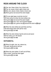# **ROCK AROUND THE CLOCK**

**[G]** One, two, three o'clock, four o'clock rock

**[G]** Five, six, seven o'clock, eight o'clock rock

**[G]** Nine, ten, eleven o'clock, twelve o'clock rock

**[G]** We're gonna rock around the clock tonight.

**[G]** Put your glad rags on and join me hon', We'll have some fun when the clock strikes one, We're gonna **[C]** rock around the clock tonight We're gonna **[G]** rock, rock, rock 'til broad daylight We're gonna **[D]** rock, gonna rock **[C]** around the clock to-**[G]**night

**[G]** When the clock strikes two and three and four, If the band slows down we'll yell for more We're gonna **[C]** rock **etc**

**[G]** When the clock chimes ring five and six and seven We'll be rockin' up in 7th heaven We're gonna **[C]** rock **etc**

### **INSTRUMENTAL**

**[G]** When it's eight, nine, ten, eleven too, I'll be goin' strong and so will you We're gonna **[C]** rock **etc**

**[G]** When the clock strikes 12 we'll cool off then, Start a rockin' 'round the clock again We're gonna **[C]** rock **etc**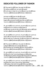# **DEDICATED FOLLOWER OF FASHION**

**[C]** They seek him **[G7]** here, they seek him **[C]** there, His clothes are **[G7]** loud, but never **[C]** square, **[F]** It will make or break him so he's **[C]** got to buy the **[A7]** best, 'Cos he's a **[Dm7]** dedicated **[G7]** follower of **[C]** fashion.

And when he **[G7]** does his little **[C]** rounds, Round the bou **[G7]** tiques of London **[C]** town, Eagerly **[F]** pursuing all the **[C]** latest fads and **[A7]** trends, 'Cos he's a **[Dm7]** dedicated **[G7]** follower of **[C]** fashion.

Oh, yes he **[G7]** is (oh, yes he is), oh yes he **[C]** is (oh, yes he is) He **[F]** thinks he is a flower to be **[C]** looked at, And **[F]** when he pulls his frilly nylon **[C]** panties right up **[A7]** tight, He feels a **[Dm7]** dedicated **[G7]** follower of **[C]** fashion.

Oh, yes he **[G7]** is (oh, yes he is), oh yes he **[C]** is (oh, yes he is) There's **[F]** one thing that he loves and that is **[C]** flattery, **[F]** One week he's in polka-dots, the **[C]** next week he's in **[A7]** stripes, 'Cos he's a **[Dm7]** dedicated **[G7]** follower of **[C]** fashion.

**[C]** They seek him **[G7]** here, they seek him **[C]** there, In Regent **[G7]** Street and Leicester **[C]** Square, **[F]** Everywhere the Carnabetian **[C]** army marches **[A7]** on, Each one a [**Dm7]** dedicated **[G7]** follower of **[C]** fashion.

Oh, yes he **[G7]** is (oh, yes he is), oh yes he **[C]** is (oh, yes he is) His [**F]** world is built 'round discotheques and **[C]** parties, This [**F]** pleasure-seeking individual [**C]** always looks his **[A7]** best, 'Cos he's a **[Dm7]** dedicated **[G7]** follower of **[C]** fashion.

Oh, yes he **[G7]** is (oh, yes he is), oh yes he **[C]** is (oh, yes he is) He [**F]** flits from shop to shop just like a **[C]** butterfly, In [**F]** matters of the cloth he is as **[C]** fickle as can **[A7]** be, 'Cos he's a **[Dm7]** dedicated **[G7]** follower of **[C]** fashion. **(x3) ……. [G7] … [C]**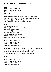# **IS THIS THE WAY TO AMARILLO?**

### **INTRO:**

**[A]** Sha la la la **[D]** la la la la **[D-A] [A]** Sha la la la **[E7]** la la la la **[E7-D] [D]** Sha la la la **[A]** la la la la **[E7]** ……. **[A]**

**[A]** When the day is **[D]** dawning… **[A]** on a Texas **[E7]** Sunday morning

**[A]** How I long to **[D]** be there… **[A]** with Marie who's **[E7]** waiting for me there

**[F]** Every lonely **[C]** city… **[F]** where I hang my **[C]** hat

**[F]** Ain't as half as **[C]** pretty… as **[E7]** where my baby's at

#### **CHORUS:**

**[A]** Is this the way to **[D]** Amarillo?

**[A]** Every night I've been **[E7]** hugging my pillow

**[A]** Dreaming dreams of **[D]** Amarillo

**[A]** And sweet **[E7]** Marie who **[A]** waits for me.

Show me the way to **[D]** Amarillo

**[A]** I've been weeping **[E7]** like a willow

**[A]** Crying over **[D]** Amarillo

**[A]** And sweet **[E7]** Marie who **[A]** waits for me

**[A]** Sha la la la **[D]** la la la la **[D-A]**

**[A]** Sha la la la **[E7]** la la la la **[E7-D]**

**[D]** Sha la la la **[A]** la la la la

**[E7]** And Marie who **[A]** waits for me

**[A]** There's a church bell **[D]** ringing… **[A]** hear the song of **[E7]** joy that it's singing

**[A]** For the sweet **[D]** Maria… **[A]** and the guy who's **[E7]** coming to see her

**[F]** Just beyond the **[C]** highway… **[F]** There's an open **[C]** plain

**[F]** And it keeps me **[C]** going … **[E7]** Through the wind and rain

#### **CHORUS**

**[A]** Sha la la la **[D]** la la la la **[D-A] [A]** Sha la la la **[E7]** la la la la **[E7-D] [D]** Sha la la la **[A]** la la la la **[E7]** And Marie who **[A]** waits for me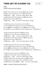# **THERE AIN'T NO PLEASING YOU**

#### **INTRO:**

**C/// B7/// C/// A7/// D7/// G7/// C///G7/G+** 

**[C]** Well I built my life around you, did what I **[B7]** thought was right But **[C]** you never cared about me, now I've **[A7]** seen the light Oh **[D7]** darling ….. **[G7]** ….. there ain't no pleasin' **[C]** you, **[G7]** You **[C]** seemed to think that everything I ever **[B7]** did was wrong **[C]** I should have known it, **[A7]** all along , Oh **[D7]** darling ….. **[G7]** ….. there ain't no pleasin' **[C]** you. **[F] [C]**

You **[C7]** only had to say the word, and you knew I'd **[F]** do it You had me **[C7]** where you wanted me, but you went and **[F]** blew it, Now every**[Bb]**thing, I ever **[F]** done, was only **[Bb]** done for you **[D7]** But now **[G]** you, can go and **[D7]** do, just what you **[G]** wanna do, I'm **[G7]** tellin' you.

'Coz **[C]** I ain't gonna be made to look a **[B7]** fool no more. You **[C]** done it once too often what do ya **[A7]** take me for Oh **[D7]** darling ….. **[G7]** ….. there ain't no pleasin' **[C]** you, **[G7]**

You **[C]** seemed to think that everything I ever **[B7]** did was wrong

**[C]** I should have known it, **[A7]** all along ,

Oh **[D7]** darling ….. **[G7]** ….. there ain't no pleasin' **[C]** you. **[F] [C]**

You **[C7]** only had to say the word, and you knew I'd **[F]** do it, You had me **[C7]** where you wanted me, but you went and **[F]** blew it, Now every**[Bb]**thing, I **[F]** ever done, was only **[Bb]** done for you **[D7]** But now **[G]** you, can go and **[D7]** do, just what you **[G]** wanna do, I'm **[G7]** tellin' you.

'Coz **[C]** I ain't gonna be made to look a **[B7]** fool no more. You **[C]** done it once too often, what do you **[A7]** take me for, Oh **[D7]** darling ….. **[G7]** ….. there ain't no pleasin' **[C]** you, **[G7]** Now **[C]** if you think I don't mean what I say and I'm **[B7]** only bluffin' You **[C]** got another think coming I'm tellin' you **[A7]** that for nothin' Cos **[D7]** darling I'm leaving **[STOP]** ….. **[G7]** ….. that's what I'm gonna **[C]** do.

**OUTRO: C/// B7/// C/// A7/// D7/// G7/// C/// G7/// C/ /**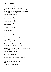### **TEDDY BEAR**

 **C F C** Baby let me be, your lovin' Teddy Bear, **F** C Put a chain around my neck, and lead me anywhere,  **G7 C** Oh let me be, your teddy bear.

 **F G7** I don't wanna be a tiger, **F** G7 Cause tigers play too rough,  **F G7** I don't wanna be a lion,  **F G7** 'Cause lions ain't the kind, **C** You love enough.

 **C** Just wanna be, your Teddy Bear, **F** C Put a chain around my neck, and lead me anywhere,  **G7 C** Oh let me be, your teddy bear.

**C F C** Baby let me be, around you every night, **F** C Run your fingers through my hair, and cuddle me real tight,  **G7 C** Oh let me be, your teddy bear.

#### **INSTRUMENTAL VERSE**

**REPEAT FROM 'I don't wanna be a tiger …'**

 **G7 C** Oh let me be, your teddy bear. **(x2) STOP** Just wanna be your teddy bear.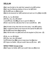# **DELILAH**

**(Dm)** I saw the light on the night that I passed by her **(A7)** window **(Dm)** I saw the flickering shadows of love on her **(A7)** blind **(D)** She **(D7)** was my **(Gm)** woman **(Dm)** As she deceived me I **(A7)** watched and went out of my **(Dm)** mind **[C]**

**(F)** My, my, my, **(C)** Delilah **(C7)** Why, why, why, **(F)** Delilah? I could **(F7)** see, that **(Bb)** girl was no good for **(Gm)** me **(F)** But I was lost like a **(C)** slave that no man could **(F)** free **(A7)**

**(Dm)** At break of day when that man drove away, I was **(A7)** waiting **(Dm)** I crossed the street to her house and she opened the **(A7)** door **(D)** She **(D7)** stood there **(Gm)** laughing **(Dm)** I felt the knife in my **(A7)** hand and she laughed no [Dm] more **(C)**

**(F)** My, my, my, **(C)** Delilah **(C7)** Why, why, why, **(F)** Delilah? So **(F7)** before they **(Bb)** come to break down the **(Gm)** door **(F)** Forgive me Delilah, I **(C)** just couldn't take any **(F)** more **(A7)**

### **REPEAT FROM 'At break of day'**

**(Dm)** Forgive me Delilah, **(A7)** I just couldn't take any **(Dm)** more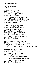### **KING OF THE ROAD**

### **INTRO**: [**C**] [**C**] [**C**] [**C**]

[**C**] Trailer for [**F**] sale or rent [**G7**] Rooms to let [**C**] fifty cents [**C**] No phone, no [**F**] pool, no pets [**G7**] I ain't got no cigarettes Ah but [**C**] two hours of [**F**] pushing broom Buys an [**G7**] eight by twelve, [**C**] four bit room I'm a [**C7**] man of [**F**] means by no means, [**G7 X**] King of the [**C**] road.

[**C**] Third box car [**F**] midnight train [**G7**] Destination, [**C**] Bangor, Maine. [**C**] Old worn out [**F**] suit and shoes [**G7 X**] I don't pay no union dues I smoke [**C**] old stogies [**F**] I have found [**G7**] Short but not too [**C**] big around I'm a [**C7**] Man of [**F**] means by no means [**G7 X**] King of the [**C**] road.

I know [**C**] every engineer on [**F**] every train [**G7**] All of the children and [**C**] all of their names [**C**] Every hand-out in [**F**] every town And [**G7 X**] every lock that ain't locked when no-one's around.

I sing [**C**] trailer for [**F**] sale or rent [**G7**] Rooms to let [**C**] fifty cents [**C**] No phone, no [**F**] pool, no pets [**G7 X**] I ain't got no cigarettes Ah but [**C**] two hours of [**F**] pushing broom Buys an [**G7**] eight by twelve, [**C**] four bit room I'm a [**C7**] man of [**F**] means by no means [**G7 X**] King of the [**C**] road (**x3**)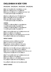# **ENGLISHMAN IN NEW YORK**

#### **[Dm] [G] [Am] [Dm] [G] [Am] [Dm] [G] [Am] [Dm] [G] [Am]**

**[Dm]** I don't take **[G]** coffee I take **[Am]** tea, my dear **[Dm]** I like my **[G]** toast done on one **[Am]** side **[Dm]** And you can **[G]** hear it in my **[Am]** accent when I talk I'm an **[F]** Englishman **[G]** in New **[Am]** York

**[Dm]** See me **[G]** walking down Fifth **[Am]** Avenue **[Dm]** A walking **[G]** cane here at my **[Am]** side **[Dm]** I take it **[G]** everywhere I **[Am]** walk I'm an **[F]** Englishman **[G]** in New **[Am]** York

#### **CHORUS:**

Oh **[Dm]** I'm an **[G]** alien **[Em]** I'm a legal **[Am]** alien I'm an **[F]** Englishman **[G]** in New **[Am]** York Oh **[Dm]** I'm an **[G]** alien **[Em]** I'm a legal **[Am]** alien I'm an **[F]** Englishman **[G]** in New **[Am]** York

**[Dm]** If "manners **[G]** maketh man" as **[Am]** someone said **[Dm]** He's the **[G]** hero of the **[Am]** day **[Dm]** It takes a **[G]** man to suffer **[Am]** ignorance and smile Be your**[F]**self no **[G]** matter what they **[Am]** say

#### **REPEAT CHORUS**

**[C]** Modesty propriety can **[G]** lead to notoriety **[Am]** You could end up as the only **[E7]** one **[F]** Gentleness, sobriety are **[G]** rare in this society At **[E7]** night a candle's brighter than the **[Am]** sun

**[Dm]** Takes more than **[G]** combat gear to **[Am]** make a man **[Dm]** Takes more than a **[G]** license for a **[Am]** gun **[Dm]** Confront your **[G]** enemies a**[Am]**void them when you can A **[F]** gentleman will **[G]** walk but never **[Am]** run

**[Dm]** If "manners **[G]** maketh man" as **[Am]** someone said **[Dm]** He's the **[G]** hero of the **[Am]** day **[Dm]** It takes a **[G]** man to suffer **[Am]** ignorance and smile Be your**[F]**self no **[G]** matter what they **[Am]** say

Be your**[F]**self no **[G]** matter what they **[Am]** say **(x4)**

#### **REPEAT CHORUS**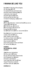# **I WANNA BE LIKE YOU**

Now [**Am**] I'm the king of the swingers, Oh, the jungle [**E7**] VIP I've reached the top and had to stop And that's what's bothering [**Am**] me I wanna be a man mancub And stroll right into [**E7**] town And be just like the other men I'm tired of monkeying a- [**Am**] round

#### **CHORUS:**

[**G7**] Oo [**C**] oobee doo, I wanna be like [**A7**] you-oo-oo I wanna [**D7**] walk like you [**G7**] Talk like you, [**C**] to-oo-oo [**G7**] You'll see it's [**C**] true-oo-oo An ape like [**A7**] me-ee-ee Can [**D7**] learn to be [**G7**] hu—oo-oo-man [**C**] too

Now [**Am**] don't try to kid me mancub I made a deal with [**E7**] you What I desire is man's red fire To make my dream come [**Am**] true Give me the secret, mancub Clue me what to [**E7**] do Give me the power of man's red flower So I can be like [**Am**] you

#### **CHORUS INSTRUMENTAL VERSE CHORUS**

I [**Am**] like your mannerisms We'll be a set of [**E7**] twins No one will know where mancub ends And Orangutan be- [**Am**] gins And when I eat bananas I won't peel them with my [**E7**] feet 'Cause I'll become a mancub And learn some etti- [**Am**] keet

### **CHORUS X 2**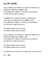# **ALL MY LOVING**

Close your [**Dm**] eyes and I'll [**G**] kiss you, to[**C**]morrow I'll [**Am**] miss you Re[**F**]member I'll [**Dm**] always be [**Bb**] true [**G7**] And then [**Dm**] while I'm [**G**] away, I'll write [**C**] home every [**Am**] day And I'll [**F**] send all my [**G**] loving to [**C**] you

I'll pre[**Dm**]tend that I'm [**G**] kissing the [**C**] lips I am [**Am**] missing And [**F**] hope that my [**Dm**] dreams will come [**Bb**] true [**G7**] And then [**Dm**] while I'm [**G**] away I'll write [**C**] home every [**Am**] day And I'll [**F**] send all my [**G**] loving to [**C**] you

All my [**Am**] loving [**C+**] I will send to [**C**] you All my [**Am**] loving [**C+**] darling I'll be [**C**] true

Close your [**Dm**] eyes and I'll [**G**] kiss you, to[**C**]morrow I'll [**Am**] miss you Re[**F**]member I'll [**Dm**] always be [**Bb**] true [**G7**] And then [**Dm**] while I'm [**G**] away, I'll write [**C**] home every [**Am**] day And I'll [**F**] send all my [**G**] loving to [**C**] you

All my [**Am**] loving [**C+**] I will send to [**C**] you All my [**Am**] loving [**C+**] darling I'll be [**C**] true

All my [**Am**] loving, all my [**C**] loving, all my [**Am**] loving, I will send to [**C**] you

**( C+ : 1003 )**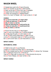# **WAGON WHEEL**

**[G] Headed down south to the [D] land of the pines** And I'm [Em] thumbin' my way into [C] North Caroline [G] Starin' up the road [D] Pray to God I see [C] headlights I [G] made it down the coast in [D] seventeen hours [Em] Pickin' me a bouquet of [C] dogwood flowers And [G] I'm a hopin' for Raleigh, I can [D] see my baby to- [C] night

**CHORUS:**

**So [G] rock me mama like a [D] wagon wheel [Em] Rock me mama any- [C] way you feel [G] Hey [D] mama [C] rock me [G] Rock me mama like the [D] wind and the rain [Em] Rock me mama like a [C] south-bound train [G] Hey [D] mama [C] rock me**

[G] Runnin' from the cold up in [D] New England I was [Em] born to be a fiddler in an [C] old-time stringband My [G] baby plays the quitar, [D] I pick a banjo [C] now Oh, the [G] North country winters keep a [D] gettin' me now Lost my [Em] money playin' poker so I [C] had to up and leave But I [G] ain't a turnin' back, to [D] livin' that old life no [C] more

#### **REPEAT CHORUS**

#### **INSTRUMENTAL VERSE**

[G] Walkin' to the south [D] out of Roanoke I caught a **[Em]** trucker out of Philly, had a **[C]** nice long toke But [G] he's a headed west from the [D] Cumberland Gap to [C] Johnson City, Tennessee And  $\lfloor \text{G} \rfloor$  gotta get a move on be- $\lfloor \text{D} \rfloor$  fore the sun I hear my  $[Em]$  baby callin' my name, and  $[Cl]$  know that she's the only one And [G] if I die in Raleigh, at [D] least I will die [C] free

#### **REPEAT CHORUS**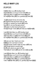# **HELLO MARY LOU**

# **[C] [G7] [C]**

He**[C]**llo Mary Lou, **[F]** Goodbye heart Sweet **[C]** Mary Lou I'm so in love with **[G7]** you I **[C]** knew Mary Lou **[E7]** we'd never **[Am]** part So he-**[D7]**llo Mary **[G7]** Lou, goodbye **[C]** heart **[G]**

You**<sup>[C]</sup>** passed me by one sunny day **[F]** Flashed those big brown eyes my way And **[C]** oo I wanted you forever **[G7]** more Now **[C]** I'm not one that gets around I **[F]** swear my feet stuck to the ground And **[C]** though I never **[G7]** did meet you be**[C]**fore**[G]**

I said **[C]** Hello Mary Lou, **[F]** Goodbye heart Sweet **[C]** Mary Lou I'm so in love with **[G7]** you I **[C]** knew Mary Lou **[E7]** we'd never **[Am]** part So he-**[D7]**llo Mary **[G7]** Lou, goodbye **[C]** heart **[G]**

I **[C]** saw your lips I heard your voice Be**[F]**lieve me I just had no choice Wild **[C]** horses couldn't make me stay a-**[G7]** way I **[C]** thought about a moonlit night My **[F]** arms about you good an' tight That's **[C]** all I had to **[G7]** see for me to **[C]** say **[G]**

I said **[C]**Hello Mary Lou, **[F]** Goodbye heart Sweet **[C]** Mary Lou I'm so in love with **[G7]** you I **[C]** knew Mary Lou **[E7]** we'd never **[Am]** part So he-**[D7]**llo Mary **[G7]** Lou, goodbye **[C]** heart I said, he**[D7]**llo Mary **[G7]** Lou, goodbye **[C]** heart **[G][C]**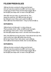# **FOLSOM PRISON BLUES**

I [**G**] hear the train a-coming it's rolling round the bend, And I ain't seen the sunshine since [**G7**] I don't know when I'm [**C**] stuck at Folsom Prison and time keeps draggin' [**G**] on But that [**D7**] train keeps rollin' on down to San [**G**] Antone

When [**G**] I was just a baby, my mama told me, "Son, Always be a good boy, don't [**G7**] ever play with guns," But I [**C**] shot a man in Reno, just to watch him [**G**] die, When I [**D7**] hear that whistle blowin', I hang my head and [**G**] cry.

### **INSTRUMENTAL**

I [**G**] bet there's rich folks eatin', in a fancy dining car, They're probably drinkin' coffee, and [**G7**] smokin' big cigars, But I [**C**] know I had it comin', I know I can't be [**G**] free, But those [**D7**] people keep a-movin', and that's what tortures [**G**] me.

Well, if they [**G**] freed me from this prison, if that railroad train was mine, I bet I'd move over a little, [**G7**] farther down the line, [**C**] Far from Folsom Prison, that's where I want to [**G**] stay, And I'd [**D7**] let that lonesome whistle, blow my blues [**G**] away.

### **INSTRUMENTAL**

I [**G**] hear the train a-coming it's rolling round the bend, And I ain't seen the sunshine since [**G7**] I don't know when I'm [**C**] stuck at Folsom Prison and time keeps draggin' [**G**] on But that [**D7**] train keeps rollin' on down to San [**G**] Antone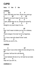# **CUPID**

**Intro: C Am C Am** 

**CHORUS: C Am C F**  Cupid, draw back your bow, and let your arrow go; **C G7 C G7**  Straight to my lover's heart, for me, for me. **C Am C F**  Cupid, please hear my cry, and let your arrow fly; **C G7 F C**  Straight to my lover's heart, for me...

**C G7**  Now I don't mean to bother you but I'm in distress; **G7 C**  There's danger of me losin' all of my happiness. **C** F For I love a man who doesn't know I exist; **G7 C**  And this you can fix. So...

### **CHORUS**

**C** G7 Now Cupid, if your arrow makes his love strong for me, **G7 C**  I promise I will love him until eternity. **C** F I know between the two of us, his heart we can steal; **G7 C**  Help me if you will. So...

### **CHORUS X 2**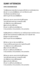# **SUNNY AFTERNOON**

#### **INTRO: DESCENDING BASS**

The [**Dm**] taxman's taken [**C**] all my dough and [**F**] left me in my [**C**] stately home [**A**] Lazin' on a sunny after[**Dm**]noon, and I can't [**C**] sail my yacht He's [**F**] taken every [**C**] thing I've got [**A**] All I've got's this sunny after[**Dm**]noon

[**D**] Save me, save me, save me from this [**G7**] squeeze

I got a [**C7**] big fat mama tryin' to break [**F**] me [**A7**]

And I [**Dm**] love to live so [**G7**] pleasantly

[**Dm**] Live this life of [**G7**] luxury

[**F**] Lazin' on a [**A7**] sunny after [**Dm**] noon

In the summertime, in the summertime, in the summertime

My [**Dm**] girlfriend's run off [**C**] with my car, and [**F**] gone back to her [**C**] ma and pa

[**A**] Tellin' tales of drunkenness and [**Dm**] cruelty, now I'm [**C**] sittin' here,

[**F**] Sippin' at my [**C**] ice-cold beer

[**A**] All I've got's this sunny after[**Dm**]noon

[**D**] Help me, help me, help me sail a[**G7**] way Or give me [**C7**] two good reasons why I oughta [**F**] stay [**A7**] Cos I [**Dm**] love to live so [**G7**] pleasantly [**Dm**] Live this life of [**G7**] luxury [**F**] Lazin' on a [**A7**] sunny after [**Dm**] noon In the summertime, in the summertime, in the summertime

[**D**] Save me, save me, save me from this [**G7**] squeeze I got a [**C7**] big fat mama tryin' to break [**F**] me [**A7**] And I [**Dm**] love to live so [**G7**] pleasantly [**Dm**] Live this life of [**G7**] luxury [**F**] Lazin' on a [**A7**] sunny after [**Dm**] noon In the summertime, in the summertime, in the summertime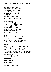# **CAN'T TAKE MY EYES OFF YOU**

You're just too **(C)** good to be true, Can't take my **(Cmaj7)** eyes off you, You'd be like **(C7)** heaven to touch, I wanna **(F)** hold you so much, At long last love **(Fm)** has arrived, I thank **(C)** God I'm alive, You're just too **(D)** good to be true, **(Dm)** Can't take my **(C)** eyes off you.

Pardon the **(C)** way that I stare, There's nothing **(Cmaj7)** else to compare, The sight of **(C7)** you leaves me weak, There are no **(F)** words left to speak, But if you **(Fm)** feel like I feel, Please let me (C) know that it's real, You're just too **(D)** good to be true, **(Dm)** Can't take my **(C)** eyes off you.

#### **BRIDGE**

**(Dm)** Dah da, dah da, **(G)** dah da da-da-dah **(C)** Dah da, dah da, **(C)** dah da da-da-dah **(Dm)** Dah da, dah da, **(G)** dah da da-da-dah **(C)** Dah da, dah da, **(A7)** daaaaaaah!

#### **CHORUS**

I love you **(Dm)** baby, and if it's **(G)** quite all right, I need you **(C)** baby, to warm a **(A7)** lonely night, I love you **(Dm)** baby, **(G)** trust in me when I **(C)** say, **[A]** Oh pretty **(Dm)** baby, don't bring me **(G)** down I pray, Oh pretty **(C)** baby, now that **(A7)** I've found you, stay, And let me **(Dm)** love you, Baby, let me **(G)** love you **(G)**

#### **REPEAT VERSE 1 REPEAT BRIDGE REPEAT CHORUS**

You're just too **[C]** good to be true.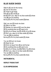# **BLUE SUEDE SHOES**

Well it's [**C**] one for the money [**C**] Two for the show [**C**] Three to get ready Now [**C**] go [**C**] cat [**C**] go But [**F**] don't you, step on my blue suede [**C**] shoes You [**G**] can do anything But lay [**F**] off of my blue suede [**C**]shoes.

Well, you can [**C**] knock me down [**C**] Step in my face [**C**] Slander my name all [**C**] over the place [**C**] Do anything that you [**C**] want to do, But [**C**] uh-uh Honey, lay [**C**] off [**C**] of my [**C**] shoes [**F**] Don't you, step on my blue suede [**C**] shoes You can [**G**] do anything But lay [**F**] off of my blue suede [**C**] shoes

You can [**C**] burn my house [**C**] Steal my car [**C**] Drink my liquor from [**C**] an old fruit jar [**C**] Do anything that you [**C**] want to do, But [**C**] uh-uh Honey, lay [**C**]off [**C**] of my [**C**] shoes [**F**] Don't you, step on my blue suede [**C**] shoes You can [**G**] do anything But lay [**F**] off of my blue suede [**C**] shoes

### **INSTRUMENTAL**

### **REPEAT FROM START**

**ELVIS IMPRESSIONS**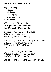# **FIVE FOOT TWO, EYES OF BLUE**

**Play whole song:**

- **1 kazoos**
- **2 all singing**
- **3 solo singing**
- **4 uke instrumental**
- **5 all singing**

**[C]**Five foot two**, [E7**]eyes of blue But [**A7**]oh! what those five foot could do, Has [**D7**]anybody [**G7**]seen my [**C**]girl?

[**C**]Turned up nose, [**E7**]turned down hose [**A7**]Never had no other beaus. Has [**D7**]anybody [**G7**]seen my [**C**]girl?

Now if you [**E7**]run into a five foot two, [**A7**] covered in fur, [**D7**]Diamond rings and all those things, [**G7**]Betcha' life it [**D7**]isn't [**G7**]her, [**G**]But...

[**C**]Could she love, [**E7**]could she woo? [**A7**]Could she, could she, could she coo? Has [**D7**]anybody [**G7**]seen my [**C**]girl?

**AT END:** Has [**D7**]anybody [**G7**]seen my [**C**]girl? **(x2)**